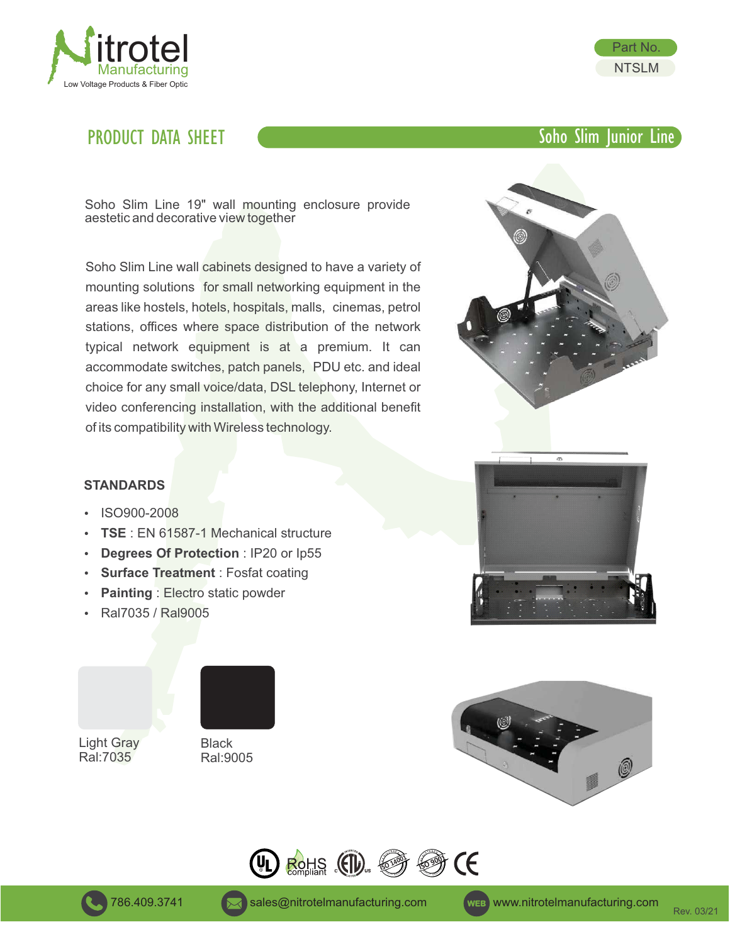

## PRODUCT DATA SHEET COMPUTER COMPUTER Soho Slim Junior Line



Soho Slim Line 19" wall mounting enclosure provide aestetic and decorative view together

Soho Slim Line wall cabinets designed to have a variety of mounting solutions for small networking equipment in the areas like hostels, hotels, hospitals, malls, cinemas, petrol stations, offices where space distribution of the network typical network equipment is at a premium. It can accommodate switches, patch panels, PDU etc. and ideal choice for any small voice/data, DSL telephony, Internet or video conferencing installation, with the additional benefit of its compatibility with Wireless technology.





- ISO900-2008
- **TSE** : EN 61587-1 Mechanical structure
- **Degrees Of Protection : IP20 or Ip55**
- **Surface Treatment** : Fosfat coating
- **Painting : Electro static powder**
- Ral7035 / Ral9005